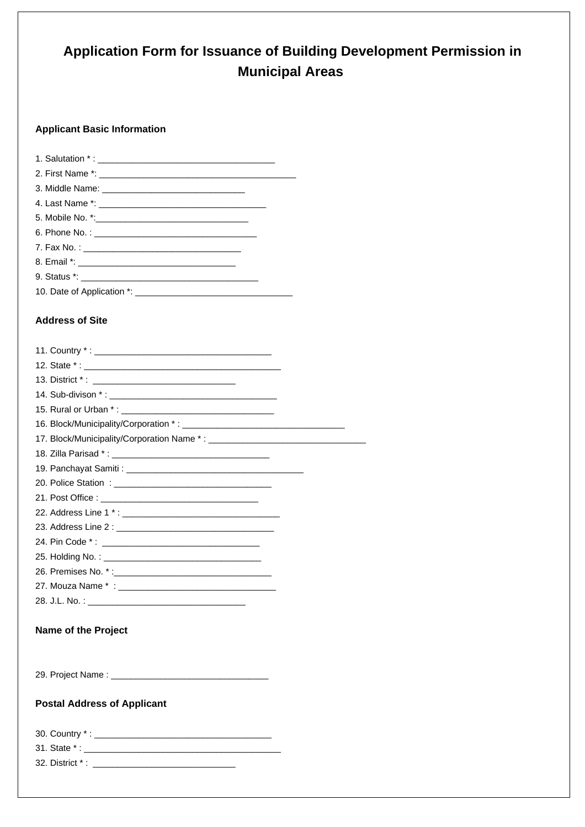# **Application Form for Issuance of Building Development Permission inMunicipal Areas**

### **Applicant Basic Information**

# **Address of Site**

| 15. Rural or Urban *:                                                                                                                                                                                                         |  |
|-------------------------------------------------------------------------------------------------------------------------------------------------------------------------------------------------------------------------------|--|
|                                                                                                                                                                                                                               |  |
|                                                                                                                                                                                                                               |  |
|                                                                                                                                                                                                                               |  |
|                                                                                                                                                                                                                               |  |
|                                                                                                                                                                                                                               |  |
|                                                                                                                                                                                                                               |  |
|                                                                                                                                                                                                                               |  |
|                                                                                                                                                                                                                               |  |
|                                                                                                                                                                                                                               |  |
| 25. Holding No.: The contract of the contract of the contract of the contract of the contract of the contract of the contract of the contract of the contract of the contract of the contract of the contract of the contract |  |
|                                                                                                                                                                                                                               |  |
|                                                                                                                                                                                                                               |  |
|                                                                                                                                                                                                                               |  |
|                                                                                                                                                                                                                               |  |
| <b>Name of the Project</b>                                                                                                                                                                                                    |  |
|                                                                                                                                                                                                                               |  |
|                                                                                                                                                                                                                               |  |
|                                                                                                                                                                                                                               |  |
|                                                                                                                                                                                                                               |  |
| <b>Postal Address of Applicant</b>                                                                                                                                                                                            |  |
|                                                                                                                                                                                                                               |  |
|                                                                                                                                                                                                                               |  |
| 31. State *: __                                                                                                                                                                                                               |  |

32. District \* : \_\_\_\_\_\_\_\_\_\_\_\_\_\_\_\_\_\_\_\_\_\_\_\_\_\_\_\_\_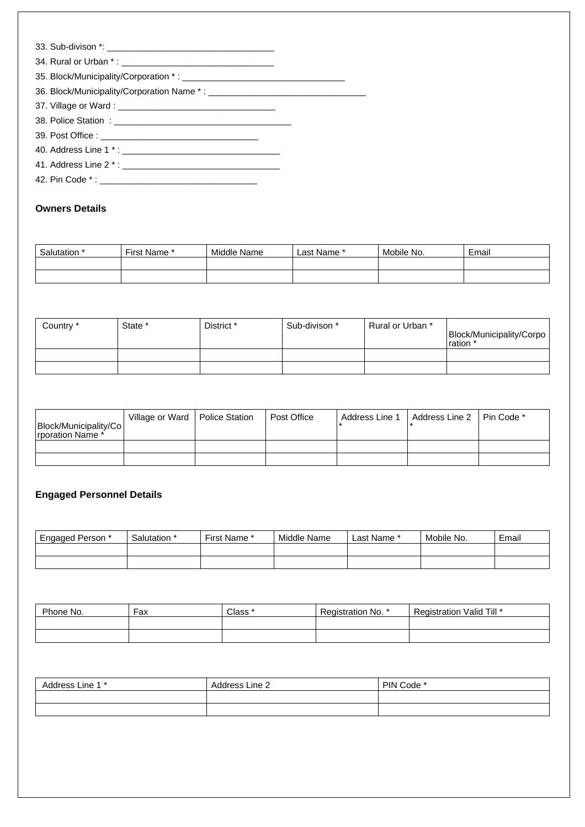### **Owners Details**

| Salutation * | First Name ' | Middle Name | Last Name * | Mobile No. | Email |
|--------------|--------------|-------------|-------------|------------|-------|
|              |              |             |             |            |       |
|              |              |             |             |            |       |

| Country * | State * | District * | Sub-divison * | Rural or Urban * | Block/Municipality/Corpo<br>ration |
|-----------|---------|------------|---------------|------------------|------------------------------------|
|           |         |            |               |                  |                                    |
|           |         |            |               |                  |                                    |

| Block/Municipality/Co<br>Irporation Name * | Village or Ward   Police Station | Post Office | Address Line 1 | Address Line 2 | Pin Code * |
|--------------------------------------------|----------------------------------|-------------|----------------|----------------|------------|
|                                            |                                  |             |                |                |            |
|                                            |                                  |             |                |                |            |

# **Engaged Personnel Details**

| <b>Engaged Person</b> * | Salutation * | First Name * | Middle Name | Last Name * | Mobile No. | Email |
|-------------------------|--------------|--------------|-------------|-------------|------------|-------|
|                         |              |              |             |             |            |       |
|                         |              |              |             |             |            |       |

| Phone No. | Fax | Class * | Registration No. * | Valid Till *<br>Registration |
|-----------|-----|---------|--------------------|------------------------------|
|           |     |         |                    |                              |
|           |     |         |                    |                              |

| Address<br>- Line 1 * ـ | Address Line 2 | PIN Code * |
|-------------------------|----------------|------------|
|                         |                |            |
|                         |                |            |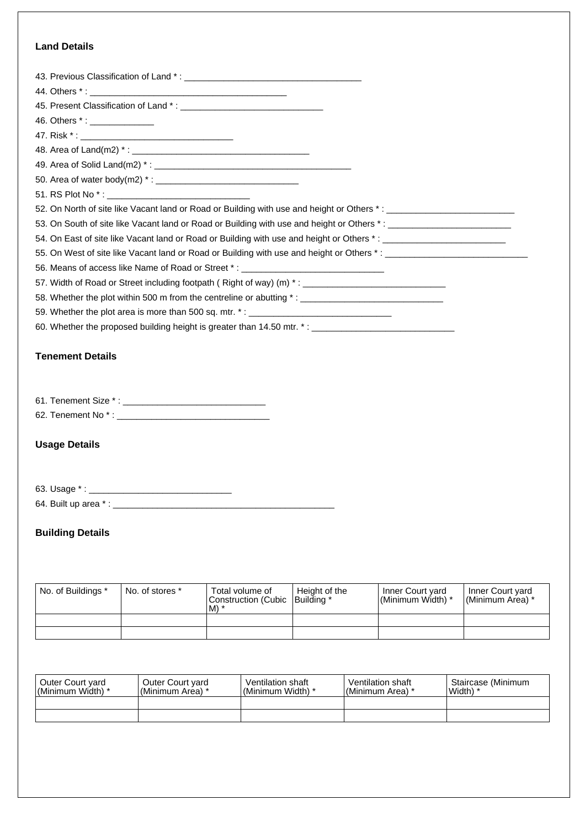## **Land Details**

| 46. Others *: ______________ |                                                                                                      |                 |               |                                                                                                                   |                  |
|------------------------------|------------------------------------------------------------------------------------------------------|-----------------|---------------|-------------------------------------------------------------------------------------------------------------------|------------------|
|                              |                                                                                                      |                 |               |                                                                                                                   |                  |
|                              |                                                                                                      |                 |               |                                                                                                                   |                  |
|                              |                                                                                                      |                 |               |                                                                                                                   |                  |
|                              |                                                                                                      |                 |               |                                                                                                                   |                  |
|                              |                                                                                                      |                 |               |                                                                                                                   |                  |
|                              |                                                                                                      |                 |               | 52. On North of site like Vacant land or Road or Building with use and height or Others *: ___________________    |                  |
|                              |                                                                                                      |                 |               | 53. On South of site like Vacant land or Road or Building with use and height or Others *: ______________________ |                  |
|                              |                                                                                                      |                 |               | 54. On East of site like Vacant land or Road or Building with use and height or Others *: ____________________    |                  |
|                              |                                                                                                      |                 |               |                                                                                                                   |                  |
|                              | 56. Means of access like Name of Road or Street *: _____________________________                     |                 |               |                                                                                                                   |                  |
|                              | 57. Width of Road or Street including footpath (Right of way) (m) *: ______________________________  |                 |               |                                                                                                                   |                  |
|                              | 58. Whether the plot within 500 m from the centreline or abutting *: _______________________________ |                 |               |                                                                                                                   |                  |
|                              | 59. Whether the plot area is more than 500 sq. mtr. *: __________________________                    |                 |               |                                                                                                                   |                  |
|                              |                                                                                                      |                 |               | 60. Whether the proposed building height is greater than 14.50 mtr. *: _____________________________              |                  |
|                              |                                                                                                      |                 |               |                                                                                                                   |                  |
| <b>Tenement Details</b>      |                                                                                                      |                 |               |                                                                                                                   |                  |
|                              |                                                                                                      |                 |               |                                                                                                                   |                  |
|                              |                                                                                                      |                 |               |                                                                                                                   |                  |
|                              |                                                                                                      |                 |               |                                                                                                                   |                  |
|                              |                                                                                                      |                 |               |                                                                                                                   |                  |
|                              |                                                                                                      |                 |               |                                                                                                                   |                  |
| <b>Usage Details</b>         |                                                                                                      |                 |               |                                                                                                                   |                  |
|                              |                                                                                                      |                 |               |                                                                                                                   |                  |
|                              |                                                                                                      |                 |               |                                                                                                                   |                  |
| 63. Usage *:                 |                                                                                                      |                 |               |                                                                                                                   |                  |
|                              |                                                                                                      |                 |               |                                                                                                                   |                  |
|                              |                                                                                                      |                 |               |                                                                                                                   |                  |
| <b>Building Details</b>      |                                                                                                      |                 |               |                                                                                                                   |                  |
|                              |                                                                                                      |                 |               |                                                                                                                   |                  |
|                              |                                                                                                      |                 |               |                                                                                                                   |                  |
|                              |                                                                                                      |                 |               |                                                                                                                   |                  |
| No. of Buildings *           | No. of stores *                                                                                      | Total volume of | Height of the | Inner Court yard                                                                                                  | Inner Court yard |

|  | . | Construction (Cubic   Building *<br>$IM$ * | .<br>l (Minimum Width) * | .<br> (Minimum Area) * |
|--|---|--------------------------------------------|--------------------------|------------------------|
|  |   |                                            |                          |                        |
|  |   |                                            |                          |                        |

| Outer Court yard<br>l (Minimum Width) * | Outer Court yard<br>'(Minimum Area) * | Ventilation shaft<br>'(Minimum Width) * | Ventilation shaft<br>I(Minimum Area) * | Staircase (Minimum<br>Width) |
|-----------------------------------------|---------------------------------------|-----------------------------------------|----------------------------------------|------------------------------|
|                                         |                                       |                                         |                                        |                              |
|                                         |                                       |                                         |                                        |                              |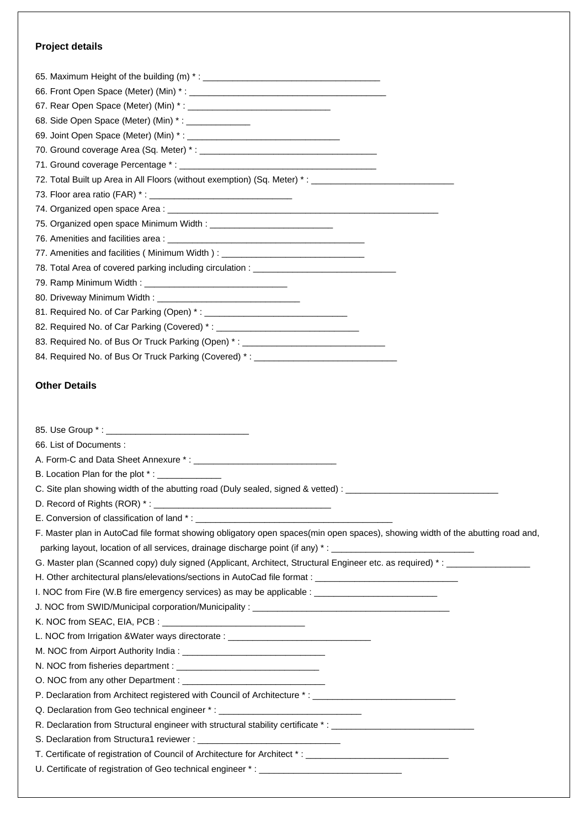#### **Project details**

| 68. Side Open Space (Meter) (Min) *: _______________                                                           |
|----------------------------------------------------------------------------------------------------------------|
|                                                                                                                |
|                                                                                                                |
|                                                                                                                |
| 72. Total Built up Area in All Floors (without exemption) (Sq. Meter) *: ___________________________           |
|                                                                                                                |
|                                                                                                                |
| 75. Organized open space Minimum Width: ___________________________________                                    |
|                                                                                                                |
| 77. Amenities and facilities (Minimum Width): __________________________________                               |
|                                                                                                                |
|                                                                                                                |
|                                                                                                                |
|                                                                                                                |
| 82. Required No. of Car Parking (Covered) *: __________________________________                                |
| 83. Required No. of Bus Or Truck Parking (Open) *: _____________________________                               |
| 84. Required No. of Bus Or Truck Parking (Covered) *: __________________________                               |
|                                                                                                                |
| <b>Other Details</b>                                                                                           |
|                                                                                                                |
|                                                                                                                |
|                                                                                                                |
| 66. List of Documents:                                                                                         |
|                                                                                                                |
| B. Location Plan for the plot *: _____________                                                                 |
| C. Site plan showing width of the abutting road (Duly sealed, signed & vetted) : _____________________________ |
|                                                                                                                |
|                                                                                                                |
|                                                                                                                |

 F. Master plan in AutoCad file format showing obligatory open spaces(min open spaces), showing width of the abutting road and,parking layout, location of all services, drainage discharge point (if any)  $*$  :

 G. Master plan (Scanned copy) duly signed (Applicant, Architect, Structural Engineer etc. as required) \* : \_\_\_\_\_\_\_\_\_\_\_\_\_\_\_\_\_

H. Other architectural plans/elevations/sections in AutoCad file format : \_\_\_\_\_\_\_\_\_\_\_\_\_

I. NOC from Fire (W.B fire emergency services) as may be applicable : \_\_\_\_\_\_\_\_\_\_

J. NOC from SWID/Municipal corporation/Municipality : \_\_\_\_\_

K. NOC from SEAC, EIA, PCB :

L. NOC from Irrigation &Water ways directorate :

M. NOC from Airport Authority India :

N. NOC from fisheries department :

 O. NOC from any other Department : \_\_\_\_\_\_\_\_\_\_\_\_\_\_\_\_\_\_\_\_\_\_\_\_\_\_\_\_\_

 P. Declaration from Architect registered with Council of Architecture \* : \_\_\_\_\_\_\_\_\_\_\_\_\_\_\_\_\_\_\_\_\_\_\_\_\_\_\_\_\_

Q. Declaration from Geo technical engineer \*:

R. Declaration from Structural engineer with structural stability certificate \*:

S. Declaration from Structura1 reviewer :

 T. Certificate of registration of Council of Architecture for Architect \* : \_\_\_\_\_\_\_\_\_\_\_\_\_\_\_\_\_\_\_\_\_\_\_\_\_\_\_\_\_

U. Certificate of registration of Geo technical engineer \*: